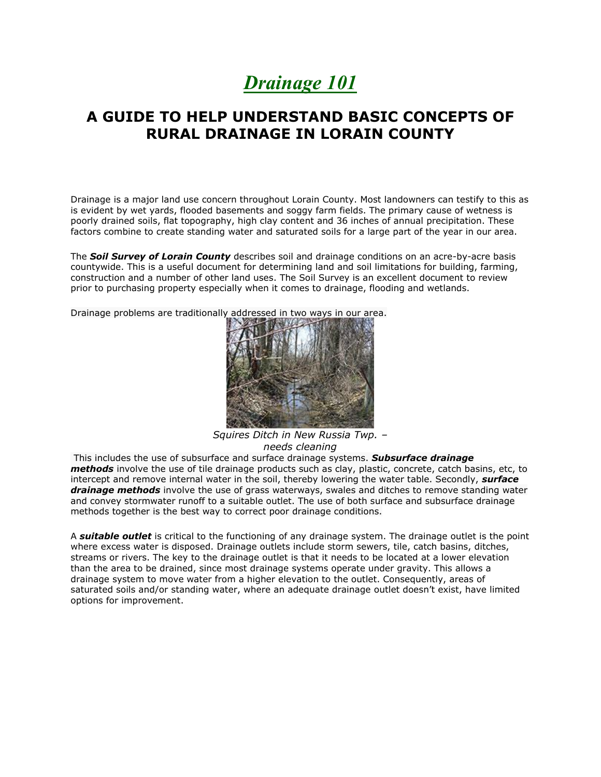## *Drainage 101*

## **A GUIDE TO HELP UNDERSTAND BASIC CONCEPTS OF RURAL DRAINAGE IN LORAIN COUNTY**

Drainage is a major land use concern throughout Lorain County. Most landowners can testify to this as is evident by wet yards, flooded basements and soggy farm fields. The primary cause of wetness is poorly drained soils, flat topography, high clay content and 36 inches of annual precipitation. These factors combine to create standing water and saturated soils for a large part of the year in our area.

The *Soil Survey of Lorain County* describes soil and drainage conditions on an acre-by-acre basis countywide. This is a useful document for determining land and soil limitations for building, farming, construction and a number of other land uses. The Soil Survey is an excellent document to review prior to purchasing property especially when it comes to drainage, flooding and wetlands.

Drainage problems are traditionally addressed in two ways in our area.



*Squires Ditch in New Russia Twp. – needs cleaning*

This includes the use of subsurface and surface drainage systems. *Subsurface drainage methods* involve the use of tile drainage products such as clay, plastic, concrete, catch basins, etc, to intercept and remove internal water in the soil, thereby lowering the water table. Secondly, *surface drainage methods* involve the use of grass waterways, swales and ditches to remove standing water and convey stormwater runoff to a suitable outlet. The use of both surface and subsurface drainage methods together is the best way to correct poor drainage conditions.

A *suitable outlet* is critical to the functioning of any drainage system. The drainage outlet is the point where excess water is disposed. Drainage outlets include storm sewers, tile, catch basins, ditches, streams or rivers. The key to the drainage outlet is that it needs to be located at a lower elevation than the area to be drained, since most drainage systems operate under gravity. This allows a drainage system to move water from a higher elevation to the outlet. Consequently, areas of saturated soils and/or standing water, where an adequate drainage outlet doesn't exist, have limited options for improvement.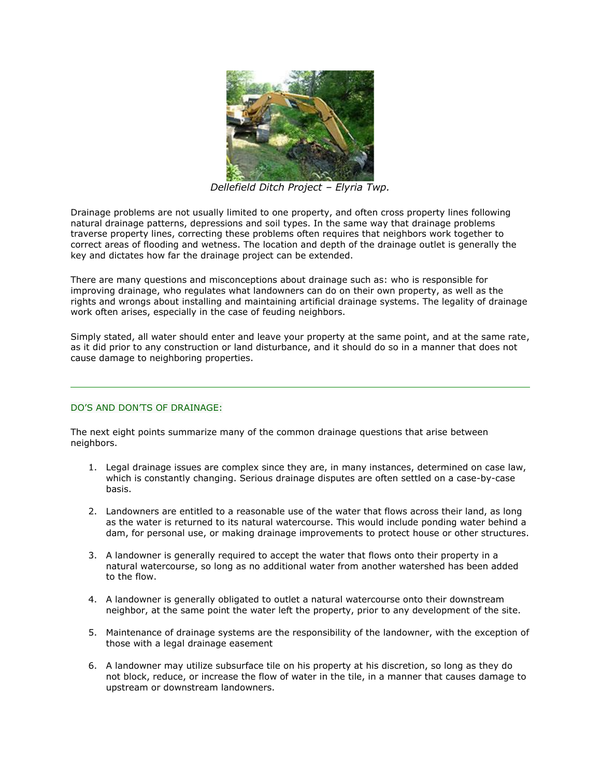

*Dellefield Ditch Project – Elyria Twp.*

Drainage problems are not usually limited to one property, and often cross property lines following natural drainage patterns, depressions and soil types. In the same way that drainage problems traverse property lines, correcting these problems often requires that neighbors work together to correct areas of flooding and wetness. The location and depth of the drainage outlet is generally the key and dictates how far the drainage project can be extended.

There are many questions and misconceptions about drainage such as: who is responsible for improving drainage, who regulates what landowners can do on their own property, as well as the rights and wrongs about installing and maintaining artificial drainage systems. The legality of drainage work often arises, especially in the case of feuding neighbors.

Simply stated, all water should enter and leave your property at the same point, and at the same rate, as it did prior to any construction or land disturbance, and it should do so in a manner that does not cause damage to neighboring properties.

## DO'S AND DON'TS OF DRAINAGE:

The next eight points summarize many of the common drainage questions that arise between neighbors.

- 1. Legal drainage issues are complex since they are, in many instances, determined on case law, which is constantly changing. Serious drainage disputes are often settled on a case-by-case basis.
- 2. Landowners are entitled to a reasonable use of the water that flows across their land, as long as the water is returned to its natural watercourse. This would include ponding water behind a dam, for personal use, or making drainage improvements to protect house or other structures.
- 3. A landowner is generally required to accept the water that flows onto their property in a natural watercourse, so long as no additional water from another watershed has been added to the flow.
- 4. A landowner is generally obligated to outlet a natural watercourse onto their downstream neighbor, at the same point the water left the property, prior to any development of the site.
- 5. Maintenance of drainage systems are the responsibility of the landowner, with the exception of those with a legal drainage easement
- 6. A landowner may utilize subsurface tile on his property at his discretion, so long as they do not block, reduce, or increase the flow of water in the tile, in a manner that causes damage to upstream or downstream landowners.